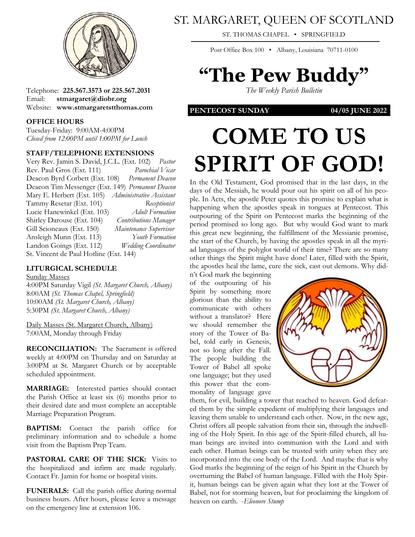

Telephone: **225.567.3573 or 225.567.2031** Email: **stmargaret@diobr.org** Website: **www.stmargaretstthomas.com**

#### **OFFICE HOURS**

Tuesday-Friday: 9:00AM-4:00PM *Closed from 12:00PM until 1:00PM for Lunch*

#### **STAFF/TELEPHONE EXTENSIONS**

Very Rev. Jamin S. David, J.C.L. (Ext. 102) *Pastor* Rev. Paul Gros (Ext. 111) *Parochial Vicar* Deacon Byrd Corbett (Ext. 108) *Permanent Deacon* Deacon Tim Messenger (Ext. 149) *Permanent Deacon* Mary E. Herbert (Ext. 105) *Administrative Assistant* Tammy Resetar (Ext. 101) *Receptionist* Lucie Hanewinkel (Ext. 103) *Adult Formation* Shirley Darouse (Ext. 104) *Contributions Manager* Gill Scioneaux (Ext. 150) *Maintenance Supervisor* Ansleigh Munn (Ext. 113) *Youth Formation* Landon Goings (Ext. 112) *Wedding Coordinator* St. Vincent de Paul Hotline (Ext. 144)

### **LITURGICAL SCHEDULE**

#### Sunday Masses

4:00PM Saturday Vigil *(St. Margaret Church, Albany)* 8:00AM *(St. Thomas Chapel, Springfield)* 10:00AM *(St. Margaret Church, Albany)* 5:30PM *(St. Margaret Church, Albany)*

Daily Masses (St. Margaret Church, Albany) 7:00AM, Monday through Friday

**RECONCILIATION:** The Sacrament is offered weekly at 4:00PM on Thursday and on Saturday at 3:00PM at St. Margaret Church or by acceptable scheduled appointment.

**MARRIAGE:** Interested parties should contact the Parish Office at least six (6) months prior to their desired date and must complete an acceptable Marriage Preparation Program.

**BAPTISM:** Contact the parish office for preliminary information and to schedule a home visit from the Baptism Prep Team.

PASTORAL CARE OF THE SICK: Visits to the hospitalized and infirm are made regularly. Contact Fr. Jamin for home or hospital visits.

**FUNERALS:** Call the parish office during normal business hours. After hours, please leave a message on the emergency line at extension 106.

## ST. MARGARET, QUEEN OF SCOTLAND

ST. THOMAS CHAPEL • SPRINGFIELD

Post Office Box 100 • Albany, Louisiana 70711-0100

## **"The Pew Buddy"**

*The Weekly Parish Bulletin*

**PENTECOST SUNDAY 04/05 JUNE 2022**

# **COME TO US SPIRIT OF GOD!**

In the Old Testament, God promised that in the last days, in the days of the Messiah, he would pour out his spirit on all of his people. In Acts, the apostle Peter quotes this promise to explain what is happening when the apostles speak in tongues at Pentecost. This outpouring of the Spirit on Pentecost marks the beginning of the period promised so long ago. But why would God want to mark this great new beginning, the fulfillment of the Messianic promise, the start of the Church, by having the apostles speak in all the myriad languages of the polyglot world of their time? There are so many other things the Spirit might have done! Later, filled with the Spirit, the apostles heal the lame, cure the sick, cast out demons. Why did-

n't God mark the beginning of the outpouring of his Spirit by something more glorious than the ability to communicate with others without a translator? Here we should remember the story of the Tower of Babel, told early in Genesis, not so long after the Fall. The people building the Tower of Babel all spoke one language; but they used this power that the commonality of language gave



them, for evil, building a tower that reached to heaven. God defeated them by the simple expedient of multiplying their languages and leaving them unable to understand each other. Now, in the new age, Christ offers all people salvation from their sin, through the indwelling of the Holy Spirit. In this age of the Spirit-filled church, all human beings are invited into communion with the Lord and with each other. Human beings can be trusted with unity when they are incorporated into the one body of the Lord. And maybe that is why God marks the beginning of the reign of his Spirit in the Church by overturning the Babel of human language. Filled with the Holy Spirit, human beings can be given again what they lost at the Tower of Babel, not for storming heaven, but for proclaiming the kingdom of heaven on earth. -*Eleonore Stump*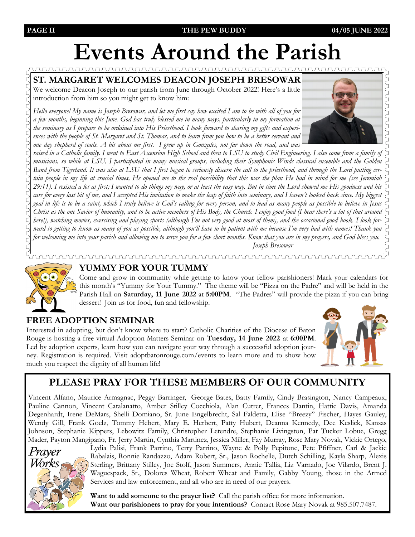## **Events Around the Parish**

**ST. MARGARET WELCOMES DEACON JOSEPH BRESOWAR** We welcome Deacon Joseph to our parish from June through October 2022! Here's a little introduction from him so you might get to know him:

*Hello everyone! My name is Joseph Bresowar, and let me first say how excited I am to be with all of you for a few months, beginning this June. God has truly blessed me in many ways, particularly in my formation at the seminary as I prepare to be ordained into His Priesthood. I look forward to sharing my gifts and experiences with the people of St. Margaret and St. Thomas, and to learn from you how to be a better servant and one day shepherd of souls. A bit about me first. I grew up in Gonzales, not far down the road, and was* 



## **YUMMY FOR YOUR TUMMY**

Come and grow in community while getting to know your fellow parishioners! Mark your calendars for this month's "Yummy for Your Tummy." The theme will be "Pizza on the Padre" and will be held in the Parish Hall on **Saturday, 11 June 2022** at **5:00PM**. "The Padres" will provide the pizza if you can bring dessert! Join us for food, fun and fellowship.

## **FREE ADOPTION SEMINAR**

Interested in adopting, but don't know where to start? Catholic Charities of the Diocese of Baton Rouge is hosting a free virtual Adoption Matters Seminar on **Tuesday, 14 June 2022** at **6:00PM**. Led by adoption experts, learn how you can navigate your way through a successful adoption journey. Registration is required. Visit adoptbatonrouge.com/events to learn more and to show how much you respect the dignity of all human life!



## **PLEASE PRAY FOR THESE MEMBERS OF OUR COMMUNITY**

Vincent Alfano, Maurice Armagnac, Peggy Barringer, George Bates, Batty Family, Cindy Brasington, Nancy Campeaux, Pauline Cannon, Vincent Catalanatto, Amber Stilley Cocchiola, Alan Cutrer, Frances Dantin, Hattie Davis, Amanda Degenhardt, Irene DeMars, Shelli Domiano, Sr. June Engelbrecht, Sal Faldetta, Elise "Breezy" Fischer, Hayes Gauley, Wendy Gill, Frank Goelz, Tommy Hebert, Mary E. Herbert, Patty Hubert, Deanna Kennedy, Dee Keslick, Kansas Johnson, Stephanie Kippers, Lebowitz Family, Christopher Letendre, Stephanie Livingston, Pat Tucker Lobue, Gregg Mader, Payton Mangipano, Fr. Jerry Martin, Cynthia Martinez, Jessica Miller, Fay Murray, Rose Mary Novak, Vickie Ortego,



Lydia Palisi, Frank Parrino, Terry Parrino, Wayne & Polly Pepitone, Pete Pfiffner, Carl & Jackie Rabalais, Ronnie Randazzo, Adam Robert, Sr., Jason Rochelle, Dutch Schilling, Kayla Sharp, Alexis Sterling, Brittany Stilley, Joe Stolf, Jason Summers, Annie Tallia, Liz Varnado, Joe Vilardo, Brent J. Waguespack, Sr., Dolores Wheat, Robert Wheat and Family, Gabby Young, those in the Armed Services and law enforcement, and all who are in need of our prayers.

**Want to add someone to the prayer list?** Call the parish office for more information. **Want our parishioners to pray for your intentions?** Contact Rose Mary Novak at 985.507.7487.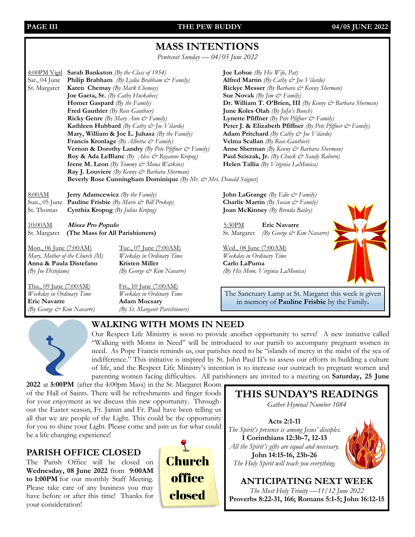PAGE III **THE PEW BUDDY** 04/05 JUNE 2022

## **MASS INTENTIONS**

*Pentecost Sunday — 04/05 June 2022*

4:00PM Vigil **Sarah Bankston** *(By the Class of 1954)* **Joe Lobue** *(By His Wife, Pat)* Sat., 04 June **Philip Brabham** *(By Lydia Brabham & Family)* **Alfred Martin** *(By Cathy & Joe Vilardo)* St. Margaret **Karen Chemay** *(By Mark Chemay)* **Rickye Messer** *(By Barbara & Kenny Sherman)* **Joe Gaeta, Sr.** *(By Cathy Huckabee)* **Sue Novak** *(By Jim*  $\breve{\infty}$  *Family)* **Fred Gauthier** *(By Rose Gauthier)* **June Koles Olah** *(By JuJu's Bunch)* **Ricky Genre** *(By Mary Ann*  $\dot{\mathcal{O}}$  *Family)* **Lynette Pfiffner** *(By Pete Pfiffner*  $\dot{\mathcal{O}}$  *Family)* **Kathleen Hubbard** *(By Cathy*  $\breve{\infty}$  *Joe Vilardo)* **Peter J. & Elizabeth Pfiffner** *(By Pete Pfiffner*  $\breve{\infty}$  *Family)* **Mary, William & Joe L. Juhasz** *(By the Family)* **Adam Pritchard** *(By Cathy & Joe Vilardo)* **Francis Kronlage** *(By Alberta & Family)* **Velma Scallan** *(By Rose Gauthier)* **Vernon & Dorothy Landry** *(By Pete Pfiffner & Family)* **Anne Sherman** *(By Kenny & Barbara Sherman)* **Roy & Ada LeBlanc** *(By Alex & Royanne Kropog)* **Paul Sziszak, Jr.** *(By Chuck & Sandy Raborn)* **Irene M. Leon** *(By Tommy & Mona Watkins)* **Helen Tallia** *(By Virginia LaMonica)* **Ray J. Louviere** *(By Kenny & Barbara Sherman)*

**Homer Gaspard** *(By the Family)* **Dr. William T. O'Brien, III** *(By Kenny & Barbara Sherman)* 

Beverly Rose Cunningham Dominique *(By Mr. & Mrs. Donald Soignet)* 

8:00AM **Jerry Adamcewicz** *(By the Family)* **John LaGrange** *(By Edie & Family)* Sun., 05 June **Pauline Frisbie** *(By Marie & Bill Prokop)* **Charlie Martin** *(By Susan & Family)* St. Thomas **Cynthia Kropog** *(By Julius Kropog)* **Joan McKinney** *(By Brenda Bailey)*

10:00AM **Missa Pro Populo** 5:30PM **Eric Navarre** St. Margaret **(The Mass for All Parishioners)** St. Margaret *(By George & Kim Navarre)* 

Mon., 06 June (7:00AM) Tue., 07 June (7:00AM) Wed., 08 June (7:00AM)<br>
Mary, Mother of the Church (M) Weekday in Ordinary Time Weekday in Ordinary Time *Mary, Mother of the Church (M) Weekday in Ordinary Time Weekday in Ordinary Time* **Anna & Paula Distefano Kristen Miller Carlo LaPuma**

Thu., 09 June (7:00 AM) Fri., 10 June (7:00 AM) *Weekday in Ordinary Time Weekday in Ordinary Time* **Eric Navarre Adam Mocsary** *(By George & Kim Navarre) (By St. Margaret Parishioners)*

*(By Joe Distefano) (By George & Kim Navarre) (By His Mom, Virginia LaMonica)*

The Sanctuary Lamp at St. Margaret this week is given in memory of **Pauline Frisbie** by the Family**.**



## **WALKING WITH MOMS IN NEED**

Our Respect Life Ministry is soon to provide another opportunity to serve! A new initiative called "Walking with Moms in Need" will be introduced to our parish to accompany pregnant women in need. As Pope Francis reminds us, our parishes need to be "islands of mercy in the midst of the sea of indifference." This initiative is inspired by St. John Paul II's to assess our efforts in building a culture of life, and the Respect Life Ministry's intention is to increase our outreach to pregnant women and parenting women facing difficulties. All parishioners are invited to a meeting on **Saturday, 25 June** 

**2022** at **5:00PM** (after the 4:00pm Mass) in the St. Margaret Room of the Hall of Saints. There will be refreshments and finger foods for your enjoyment as we discuss this new opportunity. Throughout the Easter season, Fr. Jamin and Fr. Paul have been telling us all that we are people of the Light. This could be the opportunity for you to shine your Light. Please come and join us for what could be a life changing experience!

## **PARISH OFFICE CLOSED**

The Parish Office will be closed on **Wednesday, 08 June 2022** from **9:00AM to 1:00PM** for our monthly Staff Meeting. Please take care of any business you may have before or after this time! Thanks for your consideration!





*The Most Holy Trinity —11/12 June 2022* **Proverbs 8:22-31, 166; Romans 5:1-5; John 16:12-15**